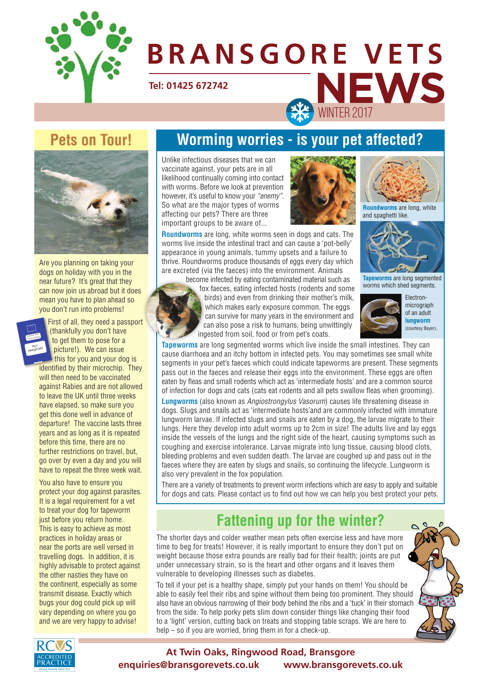

# **NEWS** WINTER 2017 **Tel: 01425 672742 BRANSGORE VETS**

## **Pets on Tour!**



Are you planning on taking your dogs on holiday with you in the near future? It's great that they can now join us abroad but it does mean you have to plan ahead so you don't run into problems!



First of all, they need a passport (thankfully you don't have to get them to pose for a picture!). We can issue

this for you and your dog is identified by their microchip. They will then need to be vaccinated against Rabies and are not allowed to leave the UK until three weeks have elapsed, so make sure you get this done well in advance of departure! The vaccine lasts three years and as long as it is repeated before this time, there are no further restrictions on travel, but, go over by even a day and you will have to repeat the three week wait.

You also have to ensure you protect your dog against parasites. It is a legal requirement for a vet to treat your dog for tapeworm just before you return home. This is easy to achieve as most practices in holiday areas or near the ports are well versed in travelling dogs. In addition, it is highly advisable to protect against the other nasties they have on the continent, especially as some transmit disease. Exactly which bugs your dog could pick up will vary depending on where you go and we are very happy to advise!

## **Worming worries - is your pet affected?**

Unlike infectious diseases that we can vaccinate against, your pets are in all likelihood continually coming into contact with worms. Before we look at prevention however, it's useful to know your *"enemy"*. So what are the major types of worms affecting our pets? There are three important groups to be aware of...





**Roundworms** are long, white and spaghetti like.

**Tapeworms** are long segmented

**Roundworms** are long, white worms seen in dogs and cats. The worms live inside the intestinal tract and can cause a 'pot-belly' appearance in young animals, tummy upsets and a failure to thrive. Roundworms produce thousands of eggs every day which are excreted (via the faeces) into the environment. Animals



fox faeces, eating infected hosts (rodents and some birds) and even from drinking their mother's milk, which makes early exposure common. The eggs can survive for many years in the environment and can also pose a risk to humans, being unwittingly ingested from soil, food or from pet's coats.



Electronmicrograph of an adult **lungworm** (courtesy Bayer).

**Tapeworms** are long segmented worms which live inside the small intestines. They can cause diarrhoea and an itchy bottom in infected pets. You may sometimes see small white segments in your pet's faeces which could indicate tapeworms are present. These segments pass out in the faeces and release their eggs into the environment. These eggs are often eaten by fleas and small rodents which act as 'intermediate hosts' and are a common source of infection for dogs and cats (cats eat rodents and all pets swallow fleas when grooming).

**Lungworms** (also known as *Angiostrongylus Vasorum*) causes life threatening disease in dogs. Slugs and snails act as 'intermediate hosts'and are commonly infected with immature lungworm larvae. If infected slugs and snails are eaten by a dog, the larvae migrate to their lungs. Here they develop into adult worms up to 2cm in size! The adults live and lay eggs inside the vessels of the lungs and the right side of the heart, causing symptoms such as coughing and exercise intolerance. Larvae migrate into lung tissue, causing blood clots, bleeding problems and even sudden death. The larvae are coughed up and pass out in the faeces where they are eaten by slugs and snails, so continuing the lifecycle. Lungworm is also very prevalent in the fox population.

There are a variety of treatments to prevent worm infections which are easy to apply and suitable for dogs and cats. Please contact us to find out how we can help you best protect your pets.

### **Fattening up for the winter?**

The shorter days and colder weather mean pets often exercise less and have more time to beg for treats! However, it is really important to ensure they don't put on weight because those extra pounds are really bad for their health; joints are put under unnecessary strain, so is the heart and other organs and it leaves them vulnerable to developing illnesses such as diabetes.

To tell if your pet is a healthy shape, simply put your hands on them! You should be able to easily feel their ribs and spine without them being too prominent. They should also have an obvious narrowing of their body behind the ribs and a 'tuck' in their stomach from the side. To help porky pets slim down consider things like changing their food to a 'light' version, cutting back on treats and stopping table scraps. We are here to help – so if you are worried, bring them in for a check-up.